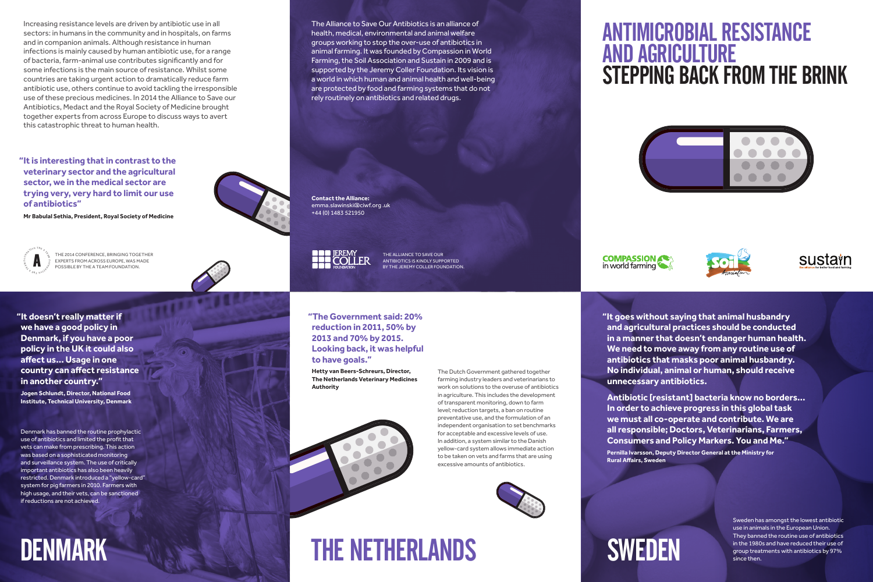**Mr Babulal Sethia, President, Royal Society of Medicine** Mr Babulal Sethia, President, Royal Society of Medicine



**"It is interesting that in contrast to the veterinary sector and the agricultural sector, we in the medical sector are trying very, very hard to limit our use of antibiotics"**

> THE 2014 CONFERENCE, BRINGING TOGETHER<br>EXPERTS FROM ACROSS EUROPE, WAS MADE<br>POSSIBLE BY THE A TEAM FOUNDATION. ExpERTS fRoM ACRoSS EuRopE, WAS MADE poSSIblE by ThE A TEAM founDATIon.



**Contact the Alliance:**  emma.slawinski@ciwf.org .uk +44 (0) 1483 521950 a world in which human and animal health and well-being are protected by food and farming systems that do not be and farming systems that do not be an



ThE AllIAnCE To SAVE ouR AnTIbIoTICS IS KInDly SuppoRTED health, medical, environmental and animal welfare by The JEREMY COLLER FOUNDATION. The Alliance of our Alliance of our Alliance of our Alliance of our Alliance to Save

#### ANTimicRobiAL RESiSTANcE AND AgRicuLTuRE STEppiNg bAck fRom THE bRiNk **of antibiotics" Mr Babulal Sethia, President, Royal Society of Medicine** ER H GON GO HARI MEDI LJL WAN HAND ERTS <u>paiate in a t</u>

Increasing resistance levels are driven by antibiotic use in all sectors: in humans in the community and in hospitals, on farms and in companion animals. Although resistance in human infections is mainly caused by human antibiotic use, for a range of bacteria, farm-animal use contributes significantly and for some infections is the main source of resistance. Whilst some countries are taking urgent action to dramatically reduce farm antibiotic use, others continue to avoid tackling the irresponsible use of these precious medicines. In 2014 the Alliance to Save our Antibiotics, Medact and the Royal Society of Medicine brought together experts from across Europe to discuss ways to avert this catastrophic threat to human health.

# THE NETHERLANDS

The Dutch Government gathered together farming industry leaders and veterinarians to work on solutions to the overuse of antibiotics in agriculture. This includes the development of transparent monitoring, down to farm level; reduction targets, a ban on routine preventative use, and the formulation of an independent organisation to set benchmarks for acceptable and excessive levels of use. In addition, a system similar to the Danish yellow-card system allows immediate action to be taken on vets and farms that are using excessive amounts of antibiotics.

 **"The Government said: 20% reduction in 2011, 50% by 2013 and 70% by 2015. Looking back, it was helpful to have goals."**

**Hetty van Beers-Schreurs, Director, The Netherlands Veterinary Medicines Authority**











RE u LT icu RgA AND

SWEDEN

Sweden has amongst the lowest antibiotic use in animals in the European Union. They banned the routine use of antibiotics in the 1980s and have reduced their use of group treatments with antibiotics by 97% since then.

 **"It goes without saying that animal husbandry and agricultural practices should be conducted in a manner that doesn't endanger human health. We need to move away from any routine use of antibiotics that masks poor animal husbandry. No individual, animal or human, should receive unnecessary antibiotics.**

**Antibiotic [resistant] bacteria know no borders… In order to achieve progress in this global task we must all co-operate and contribute. We are all responsible; Doctors, Veterinarians, Farmers, Consumers and Policy Markers. You and Me."**

**Pernilla Ivarsson, Deputy Director General at the Ministry for Rural Affairs, Sweden**



Denmark has banned the routine prophylactic use of antibiotics and limited the profit that vets can make from prescribing. This action was based on a sophisticated monitoring and surveillance system. The use of critically important antibiotics has also been heavily restricted. Denmark introduced a "yellow-card" system for pig farmers in 2010. farmers with high usage, and their vets, can be sanctioned if reductions are not achieved.

## **DENMARK**

The Alliance to Save Our Antibiotics is an alliance of health, medical, environmental and animal welfare groups working to stop the over-use of antibiotics in animal farming. It was founded by Compassion in World farming, the Soil Association and Sustain in 2009 and is supported by the Jeremy Coller foundation. Its vision is a world in which human and animal health and well-being are protected by food and farming systems that do not rely routinely on antibiotics and related drugs. emma.slawinski@ciwf.org .uk  $\mathbf{r}$  is the set of time  $\mathbf{r}$ 

 **"It doesn't really matter if we have a good policy in Denmark, if you have a poor policy in the UK it could also affect us… Usage in one country can affect resistance in another country."**

**Jogen Schlundt, Director, National Food Institute, Technical University, Denmark**